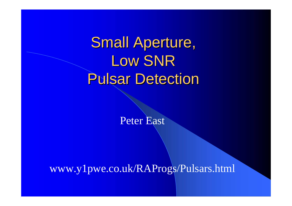Small Aperture, Low SNR Pulsar Detection

Peter East

www.y1pwe.co.uk/RAProgs/Pulsars.html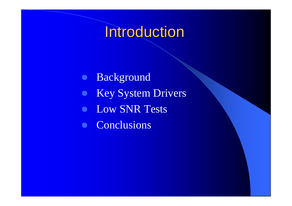#### Introduction

 $\bullet$  Background • Key System Drivers • Low SNR Tests  $\bullet$ **Conclusions**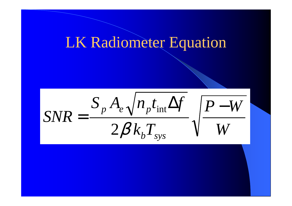#### LK Radiometer Equation

*W* $P-W$  $k_{\textit{b}}T_{\textit{s}}$  $SNR = \frac{S_p A_e \sqrt{n_p t_{\rm int} \Delta f}}{P}$  $\mathcal{L} \mu \mathcal{L}$   $_{sys}$ *p* $=\frac{S_p A_e \sqrt{n_p t_{\rm int} \Delta f}}{P-1}$  $2\beta$ int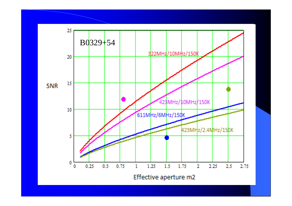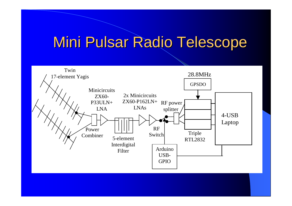### Mini Pulsar Radio Telescope

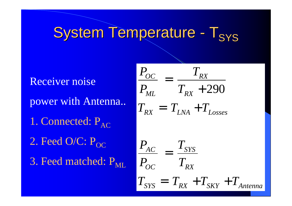#### System Temperature - ${\mathsf T}_{\mathsf{SYS}}$

 Receiver noise power with Antenna..1. Connected:  $P_{AC}$ 2. Feed O/C:  $P_{OC}$ 3. Feed matched: P<sub>ML</sub>

$$
\frac{P_{OC}}{P_{ML}} = \frac{T_{RX}}{T_{RX} + 290}
$$
\n
$$
T_{RX} = T_{LNA} + T_{Losses}
$$
\n
$$
\frac{P_{AC}}{P_{OC}} = \frac{T_{SYS}}{T_{RX}}
$$
\n
$$
T_{SYS} = T_{RX} + T_{SKY} + T_{Antenna}
$$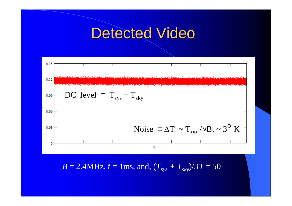#### Detected Video



 $B = 2.4 \text{MHz}, t = 1 \text{ms}, \text{and}, (T_{sys} + T_{sky})/ \Delta T = 50$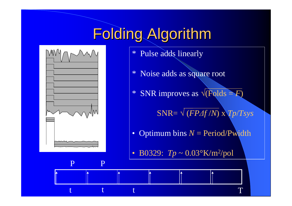## Folding Algorithm



P

t

t

P

t

- \* Pulse adds linearly
- \* Noise adds as square root
- \* SNR improves as √(Folds = *F*)

SNR= √(*FP∆f*/*N*) x *Tp*/*Tsys*

T

- Optimum bins*N* = Period/Pwidth
- B0329: *Tp* ~ 0.03°K/m2/pol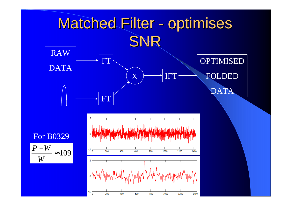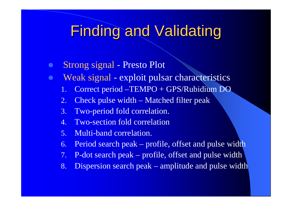#### Finding and Validating

- $\bullet$ Strong signal - Presto Plot
- $\bullet$ Weak signal - exploit pulsar characteristics
	- 1.Correct period –TEMPO + GPS/Rubidium DO
	- 2.Check pulse width – Matched filter peak
	- 3.Two-period fold correlation.
	- 4. Two-section fold correlation
	- 5.Multi-band correlation.
	- 6.Period search peak – profile, offset and pulse width
	- 7.P-dot search peak – profile, offset and pulse width
	- 8.Dispersion search peak – amplitude and pulse width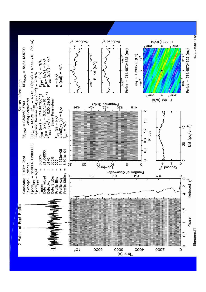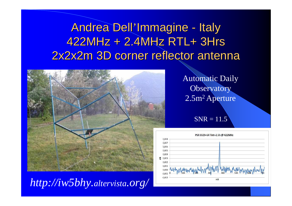Andrea Dell'Immagine - Italy 422MHz + 2.4MHz RTL+ 3Hrs2x2x2m 3D corner reflector antenna



*http://iw5bhy.altervista.org/*

Automatic Daily **Observatory**  $2.5\mathrm{m^2}$  Aperture

 $SNR = 11.5$ 

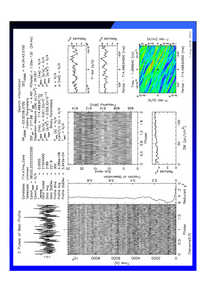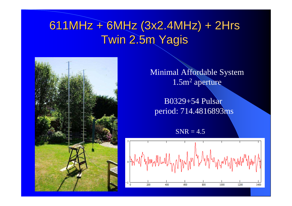#### 611MHz + 6MHz (3x2.4MHz) + 2HrsTwin 2.5m Yagis

Minimal Affordable System $1.5\mathrm{m}^2$  aperture

B0329+54 Pulsar period: 714.4816893ms

 $SNR = 4.5$ 

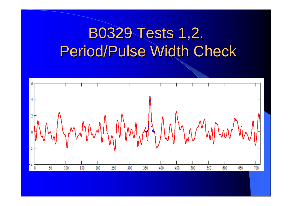## B0329 Tests 1,2.Period/Pulse Width Check

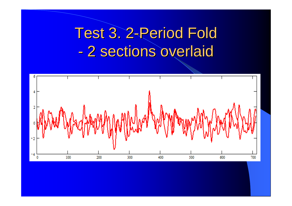## Test 3. 2-Period Fold 2 sections overlaid

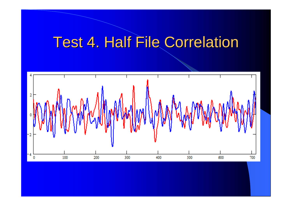## Test 4. Half File Correlation

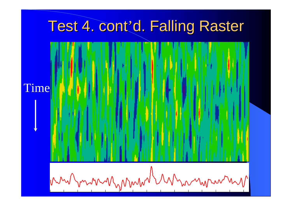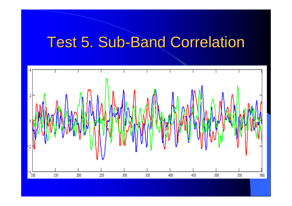## Test 5. Sub-Band Correlation

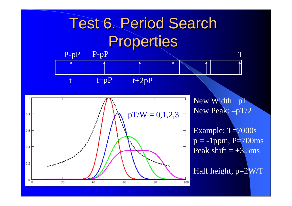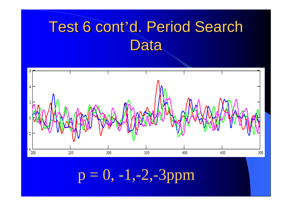# Test 6 cont'd. Period Search **Data**



 $p = 0, -1, -2, -3$ ppm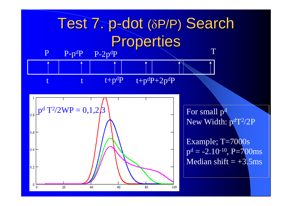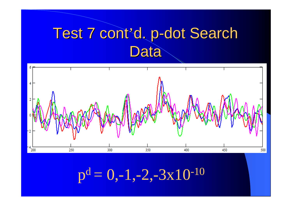## Test 7 cont'd. p-dot Search **Data**



 $p^{d}= 0,-1,-2,-3x10^{-10}$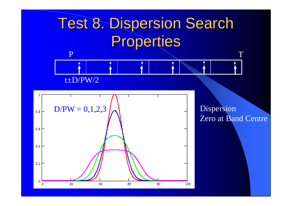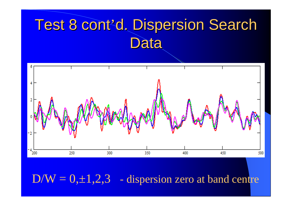## Test 8 cont'd. Dispersion Search Data



 $D/W = 0, \pm 1, 2, 3$  - dispersion zero at band centre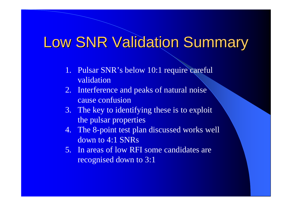### **Low SNR Validation Summary**

- 1. Pulsar SNR's below 10:1 require careful validation
- 2. Interference and peaks of natural noise cause confusion
- 3. The key to identifying these is to exploit the pulsar properties
- 4. The 8-point test plan discussed works well down to 4:1 SNRs
- 5. In areas of low RFI some candidates are recognised down to 3:1